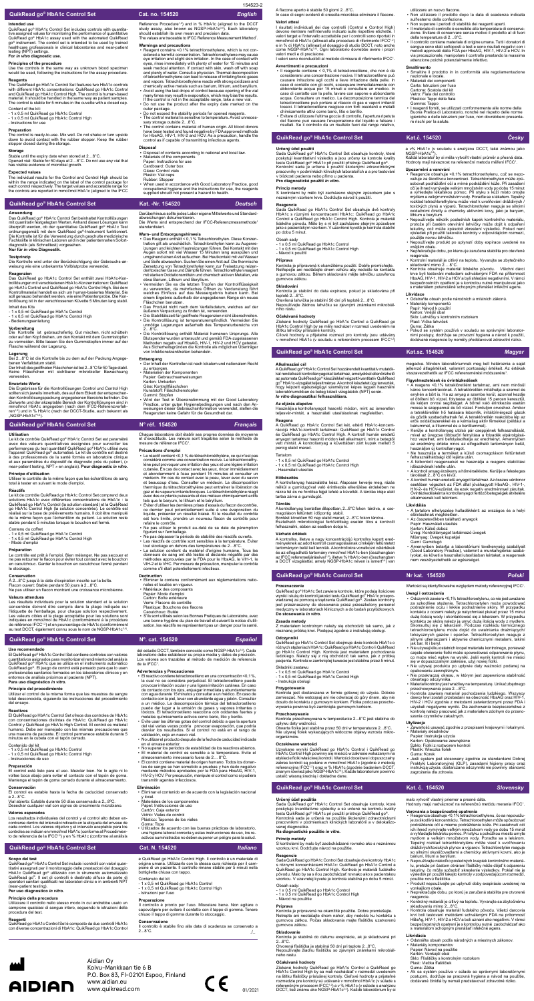# testing (NPT) settings. **For** *in vitro* **diagnostic use.**

**Principles of the procedure** Use the controls in the same way as unknown blood specimen would be used, following the instructions for the assay procedure.

Reagents<br>The QuikRead go HbA1c Control Set features two HbA1c controls<br>The QuikRead go HbA1c consentrations: QuikRead go HbA1c Control<br>and QuikRead go HbA1c Control High. The control is human-based<br>material. It should be h

- 1 x 0.5 ml QuikRead go HbA1c Control - 1 x 0.5 ml QuikRead go HbA1c Control High

- Instructions for use

### **Preparation**

The control is ready-to-use. Mix well. Do not shake or turn upside down to avoid contact with the rubber stopper. Keep the rubber

# stopper closed during the storage.

**Storage** Stable until the expiry date when stored at 2…8°C. Opened vial: Stable for 50 days at 2…8°C. Do not use any vial that has visible evidence of microbial growth.

### **Expected values**

• Reagent contains <0.1% tetrachloroethylene, which is not con-<br>sidered a harmful concentration. Tetrachloroethylene may cause<br>eye irritation and slight skin irritation. In the case of contact with<br>eyes, rinse immediately and vapors. Tetrachioroethylene reacts with strong oxidizers<br>chemically active metals such as barium, lithium, and berylli • Avoid using the last drops of control because opening of the vial many times may result in evaporation, which may bias the results. If the control is not in the acceptable range, take a new vial. • Do not use the product after the expiry date marked on the

- outer package. Do not exceed the stability periods for opened reagents.
- 
- The control material is sensitive to temperature. Avoid unnecessary storage outside 2...3"C.<br>
 The control contains material of human origin. All blood donors<br>
have been tested and found negative by FDA approved methods

# **Disposal**<br>**•** Disposal

The individual results for the Control and Control High should be within the range indicated on the label of the control package for each control respectively. The target values and accetable range for the controls are reported in mmol/mol HbA1c (aligned to the IFCC

**Anwendung** Das QuikRead go® HbA1c Control Set beinhaltet Kontrolllösungen<br>mit quantitativ festgelegten Werten. Anhand dieser Lösungen kann<br>überprüft werden, ob der quantitative QuikRead go® HbA1c Test<br>ordnungsgemäß mit dem QuikRead Die Kontrolle ist für die Verwendung durch geschulte medizinische<br>Fachkräfte in klinischen Laboren und in der patientennahen Sofort-<br>diagnostik (als Schnelltest) vorgesehen.<br>**Nur für** *in vitro* **Diagnostik.** 

### **Warnings and precautions**

Das QuikRead go HbA1c Control Set enthält zwei HbA1c-Kontrolllösungen mit verschiedenen HbA1c-Konzentrationen: QuikRead go HbA1c Control und QuikRead go HbA1c Control High. Bei dem<br>Kontrollmaterial handelt es sich um human-basiertes Material. Sie<br>soll genauso behandelt werden, wie eine Patientenprobe. Die Kon-<br>trolliösung ist in der verschl

Bei 2...8°C ist die Kontrolle bis zu dem auf der Packung Angege-<br>benen Verfalldatum stabil.<br>Der Inhalt des geöffneten Fläschchen ist bei 2...8°C für 50 Tage stabil.<br>Keine Fläschchen mit sichtbarer mikrobieller Bewachsung verwenden.

**Erwartete Werte**<br>Die Ergebnisse für die Kontrolliösungen Control und Control High<br>sollten sich jeweils innerhalb, des auf dem Etikett der entsprechen-<br>den Kontrolliösungspackung angegebenen Bereichs befinden. Die<br>Zielwert ren1-2) und in % HbA1c (nach der DCCT-Studie, auch bekannt als .<br>"NGSP-HbA1c"3<sub>1</sub>4).

abweichungen dokumentieren.<br>Die Werte sind entsprechend der IFCC-Referenzmessmethode<sup>1</sup> standardisiert.

• Disposal of contents according to national and local law. • Materials of the components Paper: Instructions for use

- **Entsorgung** Der Inhalt der Kontrollen ist nach lokalem und nationalem Recht zu entsorgen • Materialien der Komponenten
- 
- Papier: Gebrauchsanweisungen Karton: Umkarton Glas: Kontrollfläschchen
- Kunststoff: Fläschchenstopfen
- 

### **Testprinzip**

Die Kontrolle wird unter der Berücksichtigung der Gebrauchs-an-weisung wie eine unbekannte Vollblutprobe verwendet.

Le kit de contrôle QuikRead go HbA1c Control Set comprend deux solutions HbA1c avec différentes concentrations de HbA1c : la QuikRead go HbA1c Control (la solution standard) et la QuikRead<br>go HbA1c Control High (la solution concentrée). Le contrôle est<br>réalisé sur la base de prélèvements humains. Il doit être manipulé<br>de la même façon que l'écha

### **Reagenzien**

Le contrôle est prêt à l'emploi. Bien mélanger. Ne pas secouer et ne pas retourner le flacon pour éviter tout contact avec le bouchon en caoutchouc. Garder le bouchon en caoutchouc fermé pendant en caca.c...

Inhalt des Kits - 1 x 0,5 ml QuikRead go HbA1c Control - 1 x 0,5 ml QuikRead go HbA1c Control High

- Bedienungsanleitung

Vorbereitung<br>Die Kontrolle ist gebrauchsfertig. Gut mischen, nicht schütteln<br>oder auf den Kopf drehen, um den Kontakt mit dem Gummistopfen<br>zu vermeiden. Bitte lassen Sie den Gummistopfen immer auf der<br>Flasche während der L

Chaque laboratoire doit établir ses propres données de moyenne et d'exactitude. Les valeurs sont traçables selon la méthode de mesure de référence IFCC1.

### **Lagerung**

cuantitativos asignados para monitorizar el rendimiento del análisis<br>QuikRead go® HbA1c que se utiliza en el instrumento automático<br>QuikRead go®. El juego de control está pensado para que lo usen<br>profesionales sanitarios f **Para uso diagnóstico** *in vitro***.**

**Principio del procedimiento**<br>Utilizar el control de la misma forma que las muestras de sangre<br>total desconocida, siguiendo las instrucciones del procedimiento del ensayo

Reference Procedure<sup>1,2</sup>) and in % HbA1c (aligned to the DCCT study assay, also known as NGSP-HbA1c<sup>3,4</sup>). Each laboratory study assay, also known as NGSP-HbA1c<sup>3,4</sup>). Each laboratory<br>should establish its own mean and precision data.<br>The values are traceable to IFCC Reference Measurement Method<sup>1</sup>.

- **Warn- und Entsorgungshinweis** Das Reagenz enthält < 0,1 % Tetrachlorethylen. Diese Konzentration gilt als unschädlich. Tetrachlorethylen kann zu Augenre-izungen und leichten Hautreizungen führen. Bei Kontakt mit den Augen sofort mit viel Wasser 15 Minuten lang ausspülen und umgehend einen Arztautsuchen. Bei Hautkontakt mit viel Wasser<br>Land Seife abwaschen. Suchen Sie einen Arzt auf. Die thermische<br>Zersetzung von Tetrachlorethylen kann zur Freisetzung reizen-<br>der/toxischer Gase und Dämpfe führ
- welches Einfluss auf das Messergebnis haben kann. Bei einem Ergebnis außerhalb der angegebenen Range ein neues Fläschchen benutzen.
- Das Produkt nicht nach dem Verfallsdatum, welches auf der
- äußeren Verpackung zu finden ist, verwenden.<br>• Die Stabilitätszeit für geöffnete Reagenzien nicht überschreiten.<br>• Die Kontrolliösung ist temperaturempfindlich. Vermeiden Sie<br>unnötige Lagerungen außerhalb des Temperaturber
- Die Kontrolllösung enthält Material humanen Ursprungs. Alle Blutspender wurden untersucht und gemäß FDA-zugelassenen Methoden negativ auf HbsAG, HIV-1, HIV-2 und HCV getestet. Aus Sicherheitsgründen die Kontrolle als möglichen Überträger von Infektionskrankheiten behandeln.

Los resultados individuales del control y el control alto deben encontrarse dentro del intervalo indicado en la etiqueta del envase de cada control. Los valores objetivo y el intervalo aceptable para los controles se indican en mmol/mol HbA1c (conforme al Procedimien-<br>to de referencia de la IFCC12) y en % HbA1c (conforme al análisis • El reactivo contiene tetracloroetileno en una concentración <0,1 %, la cual no se considera perjudicial. El tetracloroetileno puede provocar irritación ocular y una ligera irritación cutánea. En caso de contacto con los ojos, enjuagar inmediata y abundantemente<br>con agua durante 15 minutos y consultar a un médico. En caso de<br>contacto con la piel, lavar con abundante agua y jabón. Consultar<br>a un médico. La descomposición

- Evite usar las últimas gotas del control debido a que la apertura del vial varias veces podría provocar evaporación, que podría desviar los resultados. Si el control no está en el rango de validación, coja un nuevo vial.
- 
- 
- No utilizzar el producto después de la fecha de caducidad indicada<br>• en el envase exterior.<br>• No superar los periodos de estabilidad de los reactivos abiertos.<br>• El material de control es estabile a la temperatura. Evite

# Gummi: Stopfen • Wird der Test in Übereinstimmung mit der Good Laboratory Practice, unter guten Hygienebedingungen und nach den An-weisungen dieser Gebrauchsinformation verwendet, stellen die Reagenzien keine Gefahr für die Gesundheit dar.

### **Utilisation**

Le kit de contrôle QuikRead go® HbA1c Control Set est paramétré avec des valeurs quantitatives assignées pour surveiller les performances du test quantitatif QuikRead go® HbA1c utilisé avec l'appareil QuikRead go® automatisé. Le kit de contrôle est destiné à des professionnels de la santé formés en laboratoire clinique et aux paramètres du dispositif de diagnostic près du patient, (« near-patient testing, NPT » en anglais). **Pour diagnostic** *in vitro***.**

**Principe d'utilisation** Utiliser le contrôle de la même façon que les échantillons de sang total à tester en suivant le mode d'emploi.

### **Réactifs**

gumovou zátkou. **Skladování**<br>Kontrola je sta<br>tenlotě 2 – 8°C

Contenu du coffret - 1 x 0,5 ml QuikRead go HbA1c Control - 1 x 0,5 ml QuikRead go HbA1c Control High

- Mode d'emploi

### **Préparation**

### **Conservation**

À 2...8°C jusqu'à la date d'expiration inscrite sur la boîte. Flacon ouvert: Stable pendant 50 jours à 2...8°C. Ne pas utiliser un flacon montrant une croissance microbienne.

Valeurs attendues<br>concentrée doivent être compris dans la plage indiquée sur<br>concentrée doivent être compris dans la plage indiquée sur<br>l'étiquette de l'emballage, pour chaque solution respectivement.<br>Les valeurs cibles et

### **Précautions d'emploi**

Várható értékek<br>A kontrollra, illetve a nagy koncentrációjú kontrollra kapott ered-<br>A kontrollra, illetve a nagy koncentrációjú kontrollra heritüntetett<br>tartományon belül kell lenniük. A kontrollokra vonatkozó célértékek<br>é a DCCT vizsgálattal, amely NGSP-HbA1c néven is ismert3,4) van

Przeznaczenie<br>QuikRead go<sup>e</sup> HbA1c Set zawiera kontrole, które podają ilościowe<br>wyniki i służą do kontroli jakości testu QuikRead go<sup>e</sup> HbA1c przepro-<br>wadzanej za pomocą urządzenia QuikRead go<sup>e</sup>. Zestaw kontrolny<br>jest prz

**Zasada metody**<br>Z materiałem kontrolnym należy się obchodzić tak samo, jak z<br>nieznaną próbką krwi. Postępuj zgodnie z instrukcją obsługi.

Odczynniki<br>QuikRead go HbA1c Control Set obejmuje dwie kontrole HbA1c o<br>różnych stężeniach HbA1c: QuikRead go HbA1c Control i QuikRead<br>go HbA1c Control High. Kontrola jest materiałem pochodzenia<br>ludzkiego. Należy się z nią

llanyag bontatlan állapotban, 2...8°C fokon tárolva, a csomagoláson feltüntett időpontig stabil.<br>Bontást követően 50 nap stabil marad, 2...8°C fokon tárolva.<br>Észlelhető mikrobiológiai fertőzöttség esetén tilos a kontrollt<br>felhasználni, ebben az esetben dobja ki.

- Le réactif contient <0,1 % de tétrachloroéthylène, ce qui n'est pas considéré comme une concentration nocive. Le tétrachloroéthylème peut provoquer une inritation des yeux, et une légère inritation<br>cutanée. En cas de contact avec les yeux, rincer immédiatement<br>et abondamment à l'eau pendant 15 minutes et consulter un<br>médecin. En cas de contact avec
- 
- refaire le contrôle. Ne pas utiliser le produit au-delà de sa date de péremption figurant sur l'emballage.
- 
- Ne pas dépasser la période de stabilité des réactirs ouverts.<br>• Les réactifs de contrôle sont sensibles à la température. Eviter<br>tout stockage en dehors des températures de 2...8°C.<br>• La solution contient du matériel d'o
- 
- **Dectruction**<br>• Éliminer le
- · ·<br>r le contenu conformément aux réglementations nationales et locales en vigueur.
- Matériaux des composants
- Papier: Mode d'emploi Carton: Boîte extérieure
- Verre: Flacons de contrôl
- Plastique: Bouchons des flacons<br>Caoutchouc: Butée
- Caoutchouc: Butée S'ils sont utilisés selon les Bonnes Pratiques de Laboratoire, avec une bonne hygiène du plan de travail et suivant la notice d'utili-sation, les réactifs ne représentent pas un danger pour la santé.

del estudio DCCT, también conocido como NGSP-HbA1c<sup>3,4</sup>). Cada<br>laboratorio debe establecer su propia media y datos de precisión.<br>Los valores son trazables al método de medición de referencia<br>de la IFCC<sup>1</sup>.

reagens <0,1% tetraklóretilént tartalmaz, ami nem minősül káros koncentrációnak. A tetraklóretilén irritálhatja a szemet és enyhén a bőrt is. Ha az anyag a szembe kerül, azonnal kezdje

el öblíteni bő vizzel, folytassa az öblítést 15 percen keresztül, els kérjen orvosi segítséget. A bőrrel való erintkezés esetén mossa le szappannal és bő vízzel. Fordujon orvoshoz. Amikor a tetraklóretilén hő hatására lebo

**Uso recomendado** El QuikRead go® HbA1c Control Set contiene controles con valores

### **Reactivos**

El QuikRead go HbA1c Control Set ofrece dos control con concentraciones distintas de HbA1c: QuikRead go HbA1c<br>Control y QuikRead go HbA1c High Control. El control es material<br>humano. Debe ser manejado con las mismas precauciones que<br>una muestra de paciente. El control perma

### Contenido del kit

- 
- 1 x 0,5 ml QuikRead go HbA1c Control 1 x 0,5 ml QuikRead go HbA1c Control High
- Instrucciones de uso

### **Preparación**

El control está listo para el uso. Mezclar bien. No lo agite ni lo voltee boca abajo para evitar el contacto con el tapón de goma. Mantenga el tapón de goma cerrado durante el almacenamiento.

### **Conservación**

El control es estable hasta la fecha de caducidad conservado a 2...8°C.

Vial abierto: Estable durante 50 días conservado a 2...8ºC. Desechar cualquier vial con signos de crecimiento microbiano.

### **Valores esperados**

Určený účel použitia<br>Sada QuikRead go<sup>®</sup> HbA1c Control Set obsahuje kontroly, ktoré<br>poskytujú kvantitatívne výsledky a sú určené na kontrolu kvality<br>testu QuikRead go® HbA1c pri použití prístroja QuikRead go®.<br>Kontrolná sa vanej diagnostike.

### **Advertencias y Precauciones**

# metales químicamente activos como bario, litio y berilio.

### **Eliminación**

- Varovania a bezpečnostné opatrenia<br>• Reagencia obsahuje <0,1% tetrachloroethylenu, čo sa nepovažuje<br>• je za škodivú koncentráciu. Tetrachloroethylen môže spôsobovať<br>• podráždenie očí a mierne podráždenie kože. Pri zasiahnu ich ihneď vymývajte veľkým množstvom vody po dobu 15 minút a vyhľadajte lekársku pomoc. Pri styku s pokožkou miesto umyte mydlom a veľkým množstvom vody. Poraďte sa s lekárom. Tepelný rozklad tetrachlóretylénu môže viesť k uvoľňovaniu dráždívých/toxických plynov a výparov. Tetrachlóretylén reaguje<br>so silnými okysličovadlami a chemicky aktívnymi kovmi, ako je<br>bárium, lítium a berýlium.<br>• Nepoužívajte niekoľko posledných kvapiek kontrolného materiá-<br>bu, p
- tekutiny, čo môže spôsobiť skreslenie výsledkov. Pokiaľ nie je výsledok pri použití takejto kontroly v zodpovedajúcom rozmedzí, použite novú fľaštičku.
- Produkt nepoužívajte po uplynutí doby exspirácie uvedenej na
- vonkajšom obale. Neprekračujte dobu, po ktorú je zaručená stabilita pre otvorené
- 
- reagencie.<br>• Kontrolný materiál je citlivý na teplotu. Vyvarujte sa zbytočnému<br>• skladovaniu mimo 2...8°C.<br>• Kontrola obsahuje materiál ľudského pôvodu. Všetci darcovia<br>• Krvi boli testovaní metódami schválenými FDA na prí pečnostných opatrení je s kontrolou nutné zaobchádzať ako s materiálom schopným prenášať infekčné agens.
- Eliminar el contenido en de acuerdo con la legislación nacional
- y local. Materiales de los componentes Papel: Instrucciones de uso Cartón: Caja exterior Vidrio: Viales de control Plástico: Tapones de los viales
- Goma: Tope Utilizados de acuerdo con las buenas prácticas de laboratorio, una higiene laboral correcta y estas instrucciones de uso, los re-activos suministrados no deben suponer un peligro para la salud.

./.. **Conservazione**<br>Il controllo è stabile fino alla data di scadenza se conservato a<br>2...8°C.

AIDIAN

154523-2

**Určený účel použití**

Sada QuikRead go<sup>e</sup> HbA1c Control Set obsahuje kontroly, které<br>poskytují kvantitativní výsledky a jsou určeny ke kontrole kvality<br>testu QuikRead go<sup>e</sup> HbA1c při použití přístroje QuikRead go<sup>e</sup>.<br>Kontrolní sada je určena k

# e QuikRead go HbA1c Control High. Il controllo è un materiale di<br>origine umana. Utilizzarlo con la stessa cura richiesta per il cam-<br>pione di un paziente. Il controllo rimane stabile per 5 minuti nella bottiglietta chiusa con tappo.

**Princip metody**

S kontrolami by mělo být zacházeno stejným způsobem jako s neznámým vzorkem krve. Dodržujte návod k použití.

Reagencie<br>
Sada QuikRead go HbA1c Control Set obsahuje dvě kontroly<br>
HbA1c s různými koncentracemi HbA1c: QuikRead go HbA1c<br>
Control a QuikRead go HbA1c Control High. Kontrola je materiál<br>
ildského původu. Mělo by s ní být

**Příprava**<br>Kontrola je připravená k okamžitému použití. Dobře promíchejte.<br>Netřepejte ani neotáčejte dnem vzhůru aby nedošlo ke kontaktu<br>s gumovou zátkou. Během skladování mějte lahvičku uzavřenou

Obsah sady

- 1 x 0,5 ml QuikRead go HbA1c Control - 1 x 0,5 ml QuikRead go HbA1c Control High

- Návod k použití

teplotě 2…8°C. Otevřená lahvička je stabilní 50 dní při teplotě 2…8°C. Nepoužívejte žádnou lahvičku se zjevnými známkami mikrobiál-ního růstu.

Očekávané hodnoty<br>Získané hodnoty QuikRead go HbA1c Control a QuikRead go<br>HbA1c Control High by se měly nacházet v rozmezí uvedeném na<br>štítku lahvičky příslušné kontroly.<br>Cílové hodnoty a přijatelné rozmezí pro kontroly js

Alkalmazási cél<br>Alkalmazási cél<br>A QuikRead go<sup>e</sup> HbA1c Control Set hozzárendelt kvantitatív mutatók-<br>kal rendelkező kontrollanyagokat tartalmaz, amelyekkel ellenőrizhető<br>az automata QuikRead go<sup>e</sup> Készülékkel végzett kvant

toxických plynů a výparů. Tetrachlorethylen reaguje se silnými oxidačními činidly a chemicky aktivními kovy, jako je baryum,

• Nepoužívejte několik posledních kapek kontrolního materiálu, protože při častém otevírání lahvičky může dojít k odpaření tekutiny, což může způsobit zkreslení výsledků. Pokud není výsledek při použití takovéto kontroly v odpovídajícím rozmezí,

použjijte novou lahvičku.<br>• Nepoužívejte produkt po uplynutí doby expirace uvedené na<br>• Nepřekračujte dobu, po kterou je zaručena stabilita pro otevřené<br>• Nepřekračujte dobu, po kterou je zaručena stabilita pro otevřené<br>re • Kontrolní materiál je citlivý na teplotu. Vyvarujte se zbytečného skladování mimo 2… 8°C. • Kontrola obsahuje materiál lidského původu. Všichni dárci krve byli testování metodami schválenými FDA na přítomnost<br>HbsAG, HIV-1, HIV-2 a HCV a byli shledáni negativními. V rámci<br>bezpečnostních opatření je s kontrolou nutné manipulovat jako<br>s materiálem potenciálně schopným přen

**Likvidace**

• Materiály komponentů Papír: Návod k použití Karton: Vnější obal Sklo: Lahvičky s kontrolním roztokem Plast: Víčka lahviček

Guma: Zátka

- Cardboard: Outer box Glass: Control vials
- Plastic: Vial caps Rubber: Stopper
- When used in accordance with Good Laboratory Practice, good occupational hygiene and the instructions for use, the reagents supplied should not present a hazard to health.
- Darüberhinaus sollte jedes Labor eigene Mittelwerte und Standard-**QuikRead go® HbA1c Control Set Kat. -Nr. 154520** *Deutsch*

• Pokud se systém používá v souladu se správnými laborator-ními postupy, dodržuje se provozní hygiena a návod k použití, dodávané reagencie by neměly představovat zdravotní riziko.

**Az eljárás alapelve**

Használja a kontrollanyagot hasonló módon, mint az ismeretlen teljesvér-mintát, a használati utasításoknak megfelelően.

Reagens<br>A QuikRead go HbA1c Control Set két, eltérő HbA1c-koncent-<br>A QuikRead go HbA1c Control High. A kontroll humán eredetű<br>és QuikRead go HbA1c Control High. A kontroll humán eredetű<br>anyagot tartalmaz hasonló módon kell

Előkészítés<br>A kontrollanyag használatra kész. Alaposan keverje meg, rázás<br>nélkül a gumidugóval való érintkezés elkerülése érdekében ne<br>rázsa fél és ne fordítsa fejjel lefelé a küvettát. A tárolás ideje alatt<br>tartsa zárva a

percig stabil marad. Tartalom

- 1 x 0,5 ml QuikRead go HbA1c Control - 1 x 0,5 ml QuikRead go HbA1c Control High

stabilní do data expirace, pokud je skladována při

- Használati utasítás

**Tárolás** 

megadva. Minden laboratóriumnak meg kell határoznia a saját jellemző átlagértékeit, valamint pontossági értékeit. Az értékek visszavezethetők az IFCC referensmérési módszerére<sup>1</sup> .

**Figyelmeztetések és óvintézkedések**

használjon új kontrollanyagot. • Ne használja a terméket a külső csomagoláson feltüntetett felhasználhatósági idő lejárta után. • A felbontott reagenseket ne használja a reagens stabilitási időszakának letelte után.

• A kontroll anyag érzékeny a hőmérsékletre. Kerülje a felesleges<br>tárolását 2...8°C on kívül.<br>• A kontroll humán eredetű anyagot tartalmaz. Az összes vérdonor<br>• esetében végeztek az FDA által jóváhagyott HbsAG-, HIV-1-,<br>HI

alkalmasnak kell tekinteni.

Papír: Használati utasítás<br>Karton: Külső doboz

**Likvidálás**  • A tartalom elhelyezése hulladékként: az országos és a helyi előírásoknak megfelelően. • Az összetevőkben található anyagok

Gumi: Gumidugó<br>• Amennyiben betartja a laboratóriumi tevékenység szabályait<br>• (Good Laboratory Practice), valamint a munkahigiéniai szabá-<br>lyokat, és követi a használait utasításban leírtakat, a reagensek<br>nem veszélyezteth

Karton: Külső doboz Üveg: Kontrollanyagot tartalmazó üvegek Műanyag: Üvegek kupakjai

lithium a berylium

Składniki zestawu

- 1 x 0,5 ml QuikRead go HbA1c Control - 1 x 0,5 ml QuikRead go HbA1c Control High

- Instrukcja obsługi **Przygotowanie**

Kontrola jest dostarczana w formie gotowej do użycia. Dobrze zamieszać. Nie wstrząsaj ani nie odwracaj do góry dnem, aby nie doszło do kontaktu z gumowym korkiem. Fiolka podczas przecho-

### **Przechowywanie**

Kontrola przechowywana w temperaturze 2...8°C jest stabilna do upływu daty ważności.

Otwarta fiolka jest stabilna przez 50 dni w temperaturze 2...8°C. Nie używaj fiolek wykazujących widoczne objawy wzrostu mikroorganizmów.

### **Oczekiwane wartości**

Uzyskane wyniki QuikRead go HbA1c Control i QuikRead go<br>HbA1c Control High powinny się mieścić w zakresie wskazanym na<br>etykiecie fiolki właściwej kontroli. Wartości docelowe i dopuszczalny<br>zakres kontroli są podane w mmol/

Wartości są identyfikowalne względem metody referencyjnej IFCC<sup>1</sup>

**Uwagi i ostrzeżenia** <0,1% tetrachloroetylenu, co nie jest uważane<br>za szkodliwe stężenie. Tetrachloroetylen może powodować<br>za szkodliwe stężenie. Tetrachloroetylen może powodować<br>kontaktu z oczami należy je natychmiast pl

toksycznych gazów i oparów. Tetrachloroetylen reaguje z silnymi utleniaczami i aktywnie chemicznymi metalami, takimi

jak bar, lit i beryl.

• Nie używaj kilku ostatnich kropel materiału kontrolnego, ponieważ częste otwieranie fiolki może spowodować odparowanie płynu, co może mieć wpływ na wyniki. Jeśli wynik kontroli nie mieści się w dopuszczalnym zakresie, użyj nowej fiolki. • Nie używaj produktu po upływie daty ważności podanej na opakowaniu zewnętrznym. • Nie przekraczaj okresu, w którym jest zapewniona stabilność otwartego odczynnika. • Materiał kontrolny jest wrażliwy na temperaturę. Unikać zbędnego

wwace<br>Odstraňte obsah podle národních a místních zá

• Kontrola zawiera materiał pochodzenia ludzkiego. Wszyscy dawcy krwi zostali przebadani na obecność HbsAG oraz HIV-1,

v% HbA1c (v souladu s analýzou DCCT, také známou jako NGSP-HbA1c34).<br>Každá laboratoř by si měla vytvořit vlastní průměr a přesná data<br>Hodnoty mají návaznost na referenční metodu měření IFCC<sup>1</sup>.

Plastica: Tappi della fiala<br>Comma: Tappo<br>• I reagenti forniti, se utilizzati conformemente alle norme della<br>• I reagenti forniti, se utilizzati conformemente alle norme igleniche e delle istruzioni per l'uso, non dovrebber

utilizzare un nuovo flacone.<br>• Non utilizzare il prodotto dopo la data di scadenza indicata

• Non utilizzare il prodotto dopo la data di scadenza indicata<br>sull'esterno della confezione.<br>• Non superare i periodi di stabilità dei reagenti aperti.<br>• Il materiale di controllo è sensibile alla temperatura di conserva-

HIV-2 i HCV zgodnie z metodami zatwierdzonymi przez FDA i uzyskali negatywne wyniki. Dla zachowania bezpieczeństwa z kontrolą należy pracować jak z materiałem zdolnym do przeno-szenia czynników zakaźnych.

- **Utylizacja** Zawartość usuwać zgodnie z przepisami krajowymi i lokalnymi.
- Materiały składników Papier: Instrukcja użycia Karton: Opakowanie zewnętrzne
- Szkło: Fiolki z roztworem kontroli

przechowywania poza 2...8°C<br>Kontrola zawiera materiał po

Plastik: Wieczka fiolek Guma: Korek

• Jeśli system jest stosowany zgodnie ze standardami Dobrej Praktyki Laboratoryjnej (GLP), zasadami higieny pracy oraz instrukcją użycia, dostarczane odczynniki nie powinny stanowić zagrożenia dla zdrowia.

# malo vytvoriť vlastný priemer a presné dáta.<br>Hodnotv majú nadväznosť na referenčnú m

Hodnoty majú nadväznosť na referenčnú metódu merania IFCC<sup>1</sup>.

### **Na diagnostické použitie** *in vitro***.**

**Princíp metódy**

S kontrolami by malo byť zaobchádzané rovnako ako s neznámou vzorkou krvi. Dodržujte návod na použitie.

### **Reagencie**

Sada QuikRead go HbA1c Control Set obsahuje dve kontroly HbA1c

s rôznymi koncentráciami HbA1c: QuikRead go HbA1c Control a QuikRead go HbA1c Control High. Kontrola je materiál ľudského pôvodu. Malo by sa s ňou zaobchádzať rovnako ako s pacientskou vzorkou. V uzavretej kyvete je kontrola stabilná po dobu 5 minút.

- 
- Obsah sady: 1 x 0,5 ml QuikRead go HbA1c Control 1 x 0,5 ml QuikRead go HbA1c Control High Návod na použitie
- 

**Príprava**<br>Kontrola je pripravená na okamžité použitie. Dobre premiešajte.<br>Netrepte ani neotáčajte dnom nahor, aby nedošlo ku kontaktu s<br>gumovou zátkou.<br>gumovou zátkou.

### **Skladovanie**

ntrola je stabilná do dátumu exspirácie, ak je skladovaná pri

2...8°C. Otvorená fľaštička je stabilná 50 dní pri teplote 2...8°C. Nepoužívajte žiadnu fľaštičku so zjavnými známkami mikrobiál-neho rastu.

### **Očakávané hodnoty**

Získané hodnoty QuikRead go HbA1c Control a QuikRead go<br>HbA1c Control High by sa mali nachádzať v rozmedzí uvedenom<br>na štítku fľaštičky príslušnej kontroly. Cieľové hodnoty a prijateľné<br>nazitelize pre kontroly sú udávané v

### **Likvidácia**

- Odstráňte obsah podľa národných a miestnych zákonov.
- Materiály komponentov Papier: Návod na použitie Kartón: Vonkajší obal Sklo: Fľaštičky s kontrolným roztokom Plast: Viečka fľaštičiek Guma: Zátka
- Ak sa systém používa v súlade so správnymi laboratórnymi postupmi, dodržuje sa pracovná hygiena a návod na použitie, dodávané činidlá by nemali predstavovať zdravotné riziko.

# (near-patient testing). **Per uso diagnostico** *in vitro***.**

# **Principio della procedura**<br>Utilizzare il controllo nello st

Utilizzare il controllo nello stesso modo in cui andrebbe usato un campione qualsiasi di sangue intero, seguendo le istruzioni della procedura del test.

### **Reagenti**

QuikRead go HbA1c Control Set è composto da due controlli HbA1c con diverse concentrazioni di HbA1c: QuikRead go HbA1c Control

Contenuto del kit

- 1 x 0,5 ml QuikRead go HbA1c Control
- 1 x 0,5 ml QuikRead go HbA1c Control High - Istruzioni per l'uso

### **Preparazione**

Il controllo è pronto per l'uso. Miscelare bene. Non agitare o capovolgere per evitare il contatto con il tappo di gomma. Tenere chiuso il tappo di gomma durante lo stoccaggio.

A flacone aperto è stabile 50 giorni 2...8°C. In caso di segni evidenti di crescita microbica eliminare il flacone.

**Valori attesi** I risultati individuali dei due controlli (Control e Control High) devono rientrare nell'intervallo indicato sulle rispettive etichette. I valori target e l'intervallo accettabile per i controlli sono riportati in

mmol/mol di HbA1c (allineati alla procedura di riferimento IFCC<sup>1,2</sup>) e in % di HbA1c (allineati al dosaggio di studio DCCT, noto anche<br>come NGSP-HbA1c<sup>3,4)</sup>. Ogni laboratorio dovrebbe avere i propri valori medi e di precisione.<br>I valori sono riconducibili al metodo di misura di riferimento IFCC1

Avvertimenti e precauzioni<br>
« Il reagente contine con 2,5% di tetracloroetilene, che non è da<br>
considerarsi una concentrazione nociva. Il tetracloroetilene può<br>
causare irritazione agli occhi e lieve irritazione della pell

.

tetracloroetilene può portare al rilascio di gas e vapori irritanti/ tossici. Il tetracloroetilene reagisce con forti ossidanti e metalli chimicamente attivi come bario, litio e berillio. • Evitare di utilizzare l'ultima goccia di controllo, l'apertura ripetuta del flacone può causare l'evaporazione del liquido e falsare i risultati. Se il controllo da un risultato fuori dal range relativo, via precauzionale, manipolare il controllo prestando la massima attenzione poiché potenzialmente infettivo.

**Smaltimento**

• Smaltire il prodotto in in conformità alla regolamentazione

Upozornění a varování<br>
v Reagencie bostopie <br/><0,1% tetrachloroethylenu, což se nepo-važuje za škodlivou koncentraci. Tetrachloroethylen může způ-sobovat podráždění oči a mírne podráždění kůže. Při zasažení oči je inhed

nazionale e locale. • Materiali dei componenti Carta: Istruzioni per l'uso Cartone: Scatola del kit Vetro: Fiala del controllo

01/2021

### Aidian Oy Koivu-Mankkaan tie 6 B P.O. Box 83, FI-02101 Espoo, Finland www.aidian.eu www.quikread.com



ha być zamknieta gumowym ko

**Intended use**<br>QuikRead go<sup>®</sup> HbA1c Control Set includes controls with quantita QuikRead go<sup>®</sup> HbA1c Control Set includes controls with quantitia-<br>tive assigned values for monitoring the performance of quantitative<br>QuikRead go® HbA1c assay used with the automated QuikRead<br>go<sup>®</sup> instrument. The control

**QuikRead go® HbA1c Control Set Kat.č. 154520** *Česky*

### **QuikRead go® HbA1c Control Set N° réf. 154520** *Français*

**QuikRead go® HbA1c Control Set Kat.sz. 154520** *Magyar*

**QuikRead go® HbA1c Control Set Nr kat. 154520** *Polski*

# **QuikRead go® HbA1c Control Set Kat. č. 154520** *Slovensky*

### **QuikRead go® HbA1c Control Set Nº. cat. 154520** *Español*

## **QuikRead go® HbA1c Control Set Cat. N. 154520** *Italiano*

# **Scopo del test**

QuikRead go<sup>s</sup> HbA1c Control Set include i controlli con valori quan-<br>titativi assegnati per il monitoraggio delle prestazioni del dosaggio<br>HbA1c QuikRead go<sup>s</sup> utilizzato con lo strumento automatizzato<br>QuikRead go<sup>s</sup>. Il